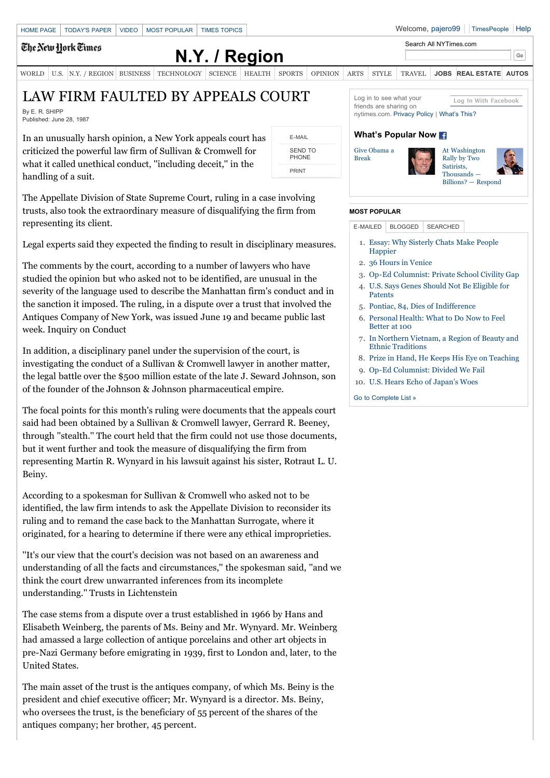### The New Hork Times

# **[N.Y. / Region](http://www.nytimes.com/pages/nyregion/index.html)**

[WORLD](http://www.nytimes.com/pages/world/index.html) [U.S.](http://www.nytimes.com/pages/national/index.html) [N.Y. / REGION](http://www.nytimes.com/pages/nyregion/index.html) [BUSINESS](http://www.nytimes.com/pages/business/index.html) [TECHNOLOGY](http://www.nytimes.com/pages/technology/index.html) [SCIENCE](http://www.nytimes.com/pages/science/index.html) [HEALTH](http://www.nytimes.com/pages/health/index.html) [SPORTS](http://www.nytimes.com/pages/sports/index.html) [OPINION](http://www.nytimes.com/pages/opinion/index.html) [ARTS](http://www.nytimes.com/pages/arts/index.html) [STYLE](http://www.nytimes.com/pages/style/index.html) [TRAVEL](http://www.nytimes.com/pages/travel/index.html) **[JOBS](http://www.nytimes.com/pages/jobs/index.html) [REAL ESTATE](http://www.nytimes.com/pages/realestate/index.html) [AUTOS](http://www.nytimes.com/pages/automobiles/index.html)**

## LAW FIRM FAULTED BY APPEALS COURT

By E. R. SHIPP Published: June 28, 1987

In an unusually harsh opinion, a New York appeals court has criticized the powerful law firm of Sullivan & Cromwell for what it called unethical conduct, ''including deceit,'' in the handling of a suit.

The Appellate Division of State Supreme Court, ruling in a case involving trusts, also took the extraordinary measure of disqualifying the firm from representing its client.

Legal experts said they expected the finding to result in disciplinary measures.

The comments by the court, according to a number of lawyers who have studied the opinion but who asked not to be identified, are unusual in the severity of the language used to describe the Manhattan firm's conduct and in the sanction it imposed. The ruling, in a dispute over a trust that involved the Antiques Company of New York, was issued June 19 and became public last week. Inquiry on Conduct

In addition, a disciplinary panel under the supervision of the court, is investigating the conduct of a Sullivan & Cromwell lawyer in another matter, the legal battle over the \$500 million estate of the late J. Seward Johnson, son of the founder of the Johnson & Johnson pharmaceutical empire.

The focal points for this month's ruling were documents that the appeals court said had been obtained by a Sullivan & Cromwell lawyer, Gerrard R. Beeney, through ''stealth.'' The court held that the firm could not use those documents, but it went further and took the measure of disqualifying the firm from representing Martin R. Wynyard in his lawsuit against his sister, Rotraut L. U. Beiny.

According to a spokesman for Sullivan & Cromwell who asked not to be identified, the law firm intends to ask the Appellate Division to reconsider its ruling and to remand the case back to the Manhattan Surrogate, where it originated, for a hearing to determine if there were any ethical improprieties.

''It's our view that the court's decision was not based on an awareness and understanding of all the facts and circumstances,'' the spokesman said, ''and we think the court drew unwarranted inferences from its incomplete understanding.'' Trusts in Lichtenstein

The case stems from a dispute over a trust established in 1966 by Hans and Elisabeth Weinberg, the parents of Ms. Beiny and Mr. Wynyard. Mr. Weinberg had amassed a large collection of antique porcelains and other art objects in pre-Nazi Germany before emigrating in 1939, first to London and, later, to the United States.

The main asset of the trust is the antiques company, of which Ms. Beiny is the president and chief executive officer; Mr. Wynyard is a director. Ms. Beiny, who oversees the trust, is the beneficiary of 55 percent of the shares of the antiques company; her brother, 45 percent.

**Log In With Facebook** Log in to see what your friends are sharing on nytimes.com. [Privacy Policy](http://www.nytimes.com/privacy) | [What's This?](http://www.nytimes.com/packages/html/timespeople/faq/social/)

#### **What's Popular Now**

[Give Obama a](http://www.nytimes.com/2010/10/31/opinion/31kristof.html?src=ISMR_AP_LO_MST_FB) Break





 $_{\rm Go}$ 

#### **MOST POPULAR**

[E-MAILED](http://www.nytimes.com/1987/06/28/nyregion/law-firm-faulted-by-appeals-court.html?scp=1&sq=LAW%20FIRM%20FAULTED%20BY%20APPEALS%20COURT%20By%20E.%20R.%20SHIPP%20Published:%20June%2028,%201987&st=cse#) | [BLOGGED](http://www.nytimes.com/1987/06/28/nyregion/law-firm-faulted-by-appeals-court.html?scp=1&sq=LAW%20FIRM%20FAULTED%20BY%20APPEALS%20COURT%20By%20E.%20R.%20SHIPP%20Published:%20June%2028,%201987&st=cse#) | [SEARCHED](http://www.nytimes.com/1987/06/28/nyregion/law-firm-faulted-by-appeals-court.html?scp=1&sq=LAW%20FIRM%20FAULTED%20BY%20APPEALS%20COURT%20By%20E.%20R.%20SHIPP%20Published:%20June%2028,%201987&st=cse#)

- 1. [Essay: Why Sisterly Chats Make People](http://www.nytimes.com/2010/10/26/health/26essay.html?src=me&ref=general) Happier
- 2. [36 Hours in Venice](http://www.nytimes.com/2010/10/31/travel/31venice-hours.html?src=me&ref=general)

Patents

- 3. [Op-Ed Columnist: Private School Civility Gap](http://www.nytimes.com/2010/10/30/opinion/30blow.html?src=me&ref=general)
- 4. [U.S. Says Genes Should Not Be Eligible for](http://www.nytimes.com/2010/10/30/business/30drug.html?src=me&ref=general)
- 5. [Pontiac, 84, Dies of Indifference](http://www.nytimes.com/2010/10/30/business/30pontiac.html?src=me&ref=general)
- 6. [Personal Health: What to Do Now to Feel](http://www.nytimes.com/2010/10/26/health/26brody.html?src=me&ref=general) Better at 100
- 7. [In Northern Vietnam, a Region of Beauty and](http://www.nytimes.com/2010/10/31/travel/31vietnam-ha-giang.html?src=me&ref=general) Ethnic Traditions
- 8. [Prize in Hand, He Keeps His Eye on Teaching](http://www.nytimes.com/2010/10/30/books/30masterclass.html?src=me&ref=general)
- 9. [Op-Ed Columnist: Divided We Fail](http://www.nytimes.com/2010/10/29/opinion/29krugman.html?src=me&ref=general)
- 10. [U.S. Hears Echo of Japan's Woes](http://www.nytimes.com/2010/10/30/world/asia/30japan.html?src=me&ref=general)

[Go to Complete List »](http://www.nytimes.com/gst/mostemailed.html)

Search All NYTimes.com

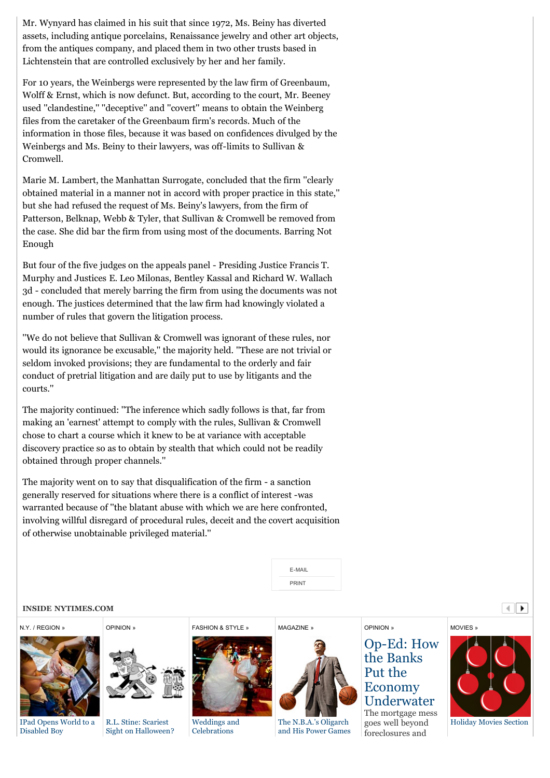Mr. Wynyard has claimed in his suit that since 1972, Ms. Beiny has diverted assets, including antique porcelains, Renaissance jewelry and other art objects, from the antiques company, and placed them in two other trusts based in Lichtenstein that are controlled exclusively by her and her family.

For 10 years, the Weinbergs were represented by the law firm of Greenbaum, Wolff & Ernst, which is now defunct. But, according to the court, Mr. Beeney used ''clandestine,'' ''deceptive'' and ''covert'' means to obtain the Weinberg files from the caretaker of the Greenbaum firm's records. Much of the information in those files, because it was based on confidences divulged by the Weinbergs and Ms. Beiny to their lawyers, was off-limits to Sullivan & Cromwell.

Marie M. Lambert, the Manhattan Surrogate, concluded that the firm ''clearly obtained material in a manner not in accord with proper practice in this state,'' but she had refused the request of Ms. Beiny's lawyers, from the firm of Patterson, Belknap, Webb & Tyler, that Sullivan & Cromwell be removed from the case. She did bar the firm from using most of the documents. Barring Not Enough

But four of the five judges on the appeals panel - Presiding Justice Francis T. Murphy and Justices E. Leo Milonas, Bentley Kassal and Richard W. Wallach 3d - concluded that merely barring the firm from using the documents was not enough. The justices determined that the law firm had knowingly violated a number of rules that govern the litigation process.

''We do not believe that Sullivan & Cromwell was ignorant of these rules, nor would its ignorance be excusable,'' the majority held. ''These are not trivial or seldom invoked provisions; they are fundamental to the orderly and fair conduct of pretrial litigation and are daily put to use by litigants and the courts.''

The majority continued: ''The inference which sadly follows is that, far from making an 'earnest' attempt to comply with the rules, Sullivan & Cromwell chose to chart a course which it knew to be at variance with acceptable discovery practice so as to obtain by stealth that which could not be readily obtained through proper channels.''

The majority went on to say that disqualification of the firm - a sanction generally reserved for situations where there is a conflict of interest -was warranted because of ''the blatant abuse with which we are here confronted, involving willful disregard of procedural rules, deceit and the covert acquisition of otherwise unobtainable privileged material.''



[MAGAZINE »](http://www.nytimes.com/pages/magazine/index.html)

#### **INSIDE NYTIMES.COM**

#### [N.Y. / REGION »](http://www.nytimes.com/pages/nyregion/index.html)



[IPad Opens World to a](http://www.nytimes.com/2010/10/31/nyregion/31owen.html) Disabled Boy



[OPINION »](http://www.nytimes.com/pages/opinion/index.html)

R.L. Stine: Scariest [Sight on Halloween?](http://www.nytimes.com/2010/10/31/opinion/31stine.html)

[FASHION & STYLE »](http://www.nytimes.com/pages/fashion/index.html)



[Weddings and](http://www.nytimes.com/2010/10/31/fashion/weddings/31VOWS.html) **Celebrations** 



The N.B.A.'s Oligarch [and His Power Games](http://www.nytimes.com/magazine/)

#### [OPINION »](http://www.nytimes.com/pages/opinion/index.html)

### [Op-Ed: How](http://www.nytimes.com/2010/10/31/opinion/31smith.html) the Banks Put the Economy Underwater

The mortgage mess goes well beyond foreclosures and





 $\left| \cdot \right|$ 

[Holiday Movies Section](http://www.nytimes.com/indexes/2010/10/31/movies/moviesspecial/index.html)